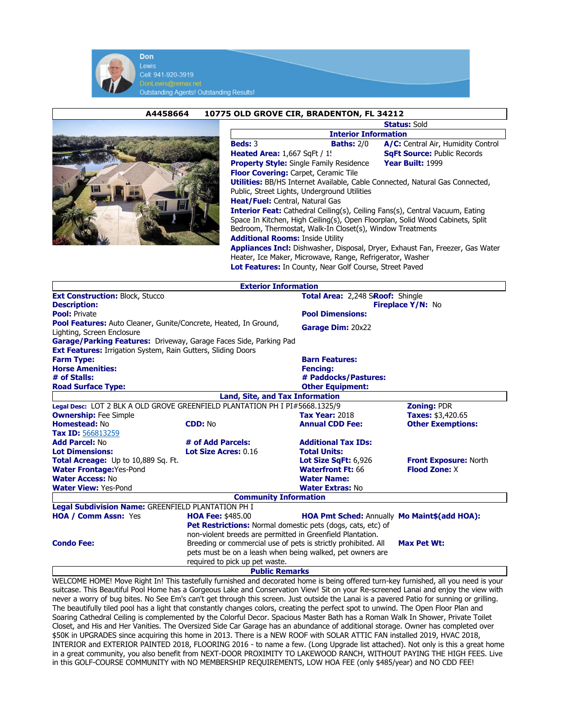

Lewis Cell: 941-920-3919 Outstanding Agents! Outstanding Results!

## A4458664 10775 OLD GROVE CIR, BRADENTON, FL 34212



|                                                                                     |                   | <b>Status: Sold</b>                |  |  |  |  |
|-------------------------------------------------------------------------------------|-------------------|------------------------------------|--|--|--|--|
| <b>Interior Information</b>                                                         |                   |                                    |  |  |  |  |
| <b>Beds: 3</b>                                                                      | <b>Baths: 2/0</b> | A/C: Central Air, Humidity Control |  |  |  |  |
| <b>Heated Area: 1,667 SqFt / 1!</b>                                                 |                   | <b>SgFt Source: Public Records</b> |  |  |  |  |
| <b>Property Style:</b> Single Family Residence                                      |                   | Year Built: 1999                   |  |  |  |  |
| <b>Floor Covering: Carpet, Ceramic Tile</b>                                         |                   |                                    |  |  |  |  |
| <b>Utilities:</b> BB/HS Internet Available, Cable Connected, Natural Gas Connected, |                   |                                    |  |  |  |  |
| Public, Street Lights, Underground Utilities                                        |                   |                                    |  |  |  |  |
| <b>Heat/Fuel:</b> Central, Natural Gas                                              |                   |                                    |  |  |  |  |
| <b>Interior Feat:</b> Cathedral Ceiling(s), Ceiling Fans(s), Central Vacuum, Eating |                   |                                    |  |  |  |  |
| Space In Kitchen, High Ceiling(s), Open Floorplan, Solid Wood Cabinets, Split       |                   |                                    |  |  |  |  |
| Bedroom, Thermostat, Walk-In Closet(s), Window Treatments                           |                   |                                    |  |  |  |  |
| <b>Additional Rooms: Inside Utility</b>                                             |                   |                                    |  |  |  |  |
| Appliances Incl: Dishwasher, Disposal, Dryer, Exhaust Fan, Freezer, Gas Water       |                   |                                    |  |  |  |  |

Heater, Ice Maker, Microwave, Range, Refrigerator, Washer Lot Features: In County, Near Golf Course, Street Paved

|                                                                             | <b>Exterior Information</b>                                 |                                              |                                  |  |  |
|-----------------------------------------------------------------------------|-------------------------------------------------------------|----------------------------------------------|----------------------------------|--|--|
| <b>Ext Construction: Block, Stucco</b>                                      |                                                             |                                              | Total Area: 2,248 SRoof: Shingle |  |  |
| <b>Description:</b>                                                         |                                                             |                                              | <b>Fireplace Y/N: No</b>         |  |  |
| <b>Pool:</b> Private                                                        |                                                             |                                              | <b>Pool Dimensions:</b>          |  |  |
| <b>Pool Features:</b> Auto Cleaner, Gunite/Concrete, Heated, In Ground,     |                                                             | Garage Dim: 20x22                            |                                  |  |  |
| Lighting, Screen Enclosure                                                  |                                                             |                                              |                                  |  |  |
| Garage/Parking Features: Driveway, Garage Faces Side, Parking Pad           |                                                             |                                              |                                  |  |  |
| <b>Ext Features:</b> Irrigation System, Rain Gutters, Sliding Doors         |                                                             |                                              |                                  |  |  |
| <b>Farm Type:</b>                                                           |                                                             | <b>Barn Features:</b>                        |                                  |  |  |
| <b>Horse Amenities:</b>                                                     |                                                             | <b>Fencing:</b>                              |                                  |  |  |
| # of Stalls:                                                                |                                                             | # Paddocks/Pastures:                         |                                  |  |  |
| <b>Road Surface Type:</b>                                                   |                                                             | <b>Other Equipment:</b>                      |                                  |  |  |
|                                                                             | Land, Site, and Tax Information                             |                                              |                                  |  |  |
| Legal Desc: LOT 2 BLK A OLD GROVE GREENFIELD PLANTATION PH I PI#5668.1325/9 |                                                             |                                              | <b>Zoning: PDR</b>               |  |  |
| <b>Ownership:</b> Fee Simple                                                |                                                             | <b>Tax Year: 2018</b>                        | Taxes: \$3,420.65                |  |  |
| Homestead: No                                                               | <b>CDD: No</b>                                              | <b>Annual CDD Fee:</b>                       | <b>Other Exemptions:</b>         |  |  |
| Tax ID: 566813259                                                           |                                                             |                                              |                                  |  |  |
| <b>Add Parcel: No</b>                                                       | # of Add Parcels:                                           | <b>Additional Tax IDs:</b>                   |                                  |  |  |
| <b>Lot Dimensions:</b>                                                      | Lot Size Acres: 0.16                                        | <b>Total Units:</b>                          |                                  |  |  |
| Total Acreage: Up to 10,889 Sq. Ft.                                         |                                                             | Lot Size SaFt: 6.926                         | <b>Front Exposure: North</b>     |  |  |
| <b>Water Frontage: Yes-Pond</b>                                             |                                                             | <b>Waterfront Ft: 66</b>                     | <b>Flood Zone: X</b>             |  |  |
| <b>Water Access: No</b>                                                     |                                                             | <b>Water Name:</b>                           |                                  |  |  |
| <b>Water View: Yes-Pond</b>                                                 | <b>Water Extras: No</b>                                     |                                              |                                  |  |  |
|                                                                             | <b>Community Information</b>                                |                                              |                                  |  |  |
| <b>Legal Subdivision Name: GREENFIELD PLANTATION PH I</b>                   |                                                             |                                              |                                  |  |  |
| <b>HOA / Comm Assn: Yes</b>                                                 | <b>HOA Fee: \$485.00</b>                                    | HOA Pmt Sched: Annually Mo Maint\$(add HOA): |                                  |  |  |
|                                                                             | Pet Restrictions: Normal domestic pets (dogs, cats, etc) of |                                              |                                  |  |  |
|                                                                             | non-violent breeds are permitted in Greenfield Plantation.  |                                              |                                  |  |  |
| <b>Condo Fee:</b>                                                           | Max Pet Wt:                                                 |                                              |                                  |  |  |
|                                                                             | pets must be on a leash when being walked, pet owners are   |                                              |                                  |  |  |
|                                                                             | required to pick up pet waste.                              |                                              |                                  |  |  |
|                                                                             | <b>Public Remarks</b>                                       |                                              |                                  |  |  |

WELCOME HOME! Move Right In! This tastefully furnished and decorated home is being offered turn-key furnished, all you need is your suitcase. This Beautiful Pool Home has a Gorgeous Lake and Conservation View! Sit on your Re-screened Lanai and enjoy the view with never a worry of bug bites. No See Em's can't get through this screen. Just outside the Lanai is a pavered Patio for sunning or grilling. The beautifully tiled pool has a light that constantly changes colors, creating the perfect spot to unwind. The Open Floor Plan and Soaring Cathedral Ceiling is complemented by the Colorful Decor. Spacious Master Bath has a Roman Walk In Shower, Private Toilet Closet, and His and Her Vanities. The Oversized Side Car Garage has an abundance of additional storage. Owner has completed over \$50K in UPGRADES since acquiring this home in 2013. There is a NEW ROOF with SOLAR ATTIC FAN installed 2019, HVAC 2018, INTERIOR and EXTERIOR PAINTED 2018, FLOORING 2016 - to name a few. (Long Upgrade list attached). Not only is this a great home in a great community, you also benefit from NEXT-DOOR PROXIMITY TO LAKEWOOD RANCH, WITHOUT PAYING THE HIGH FEES. Live in this GOLF-COURSE COMMUNITY with NO MEMBERSHIP REQUIREMENTS, LOW HOA FEE (only \$485/year) and NO CDD FEE!